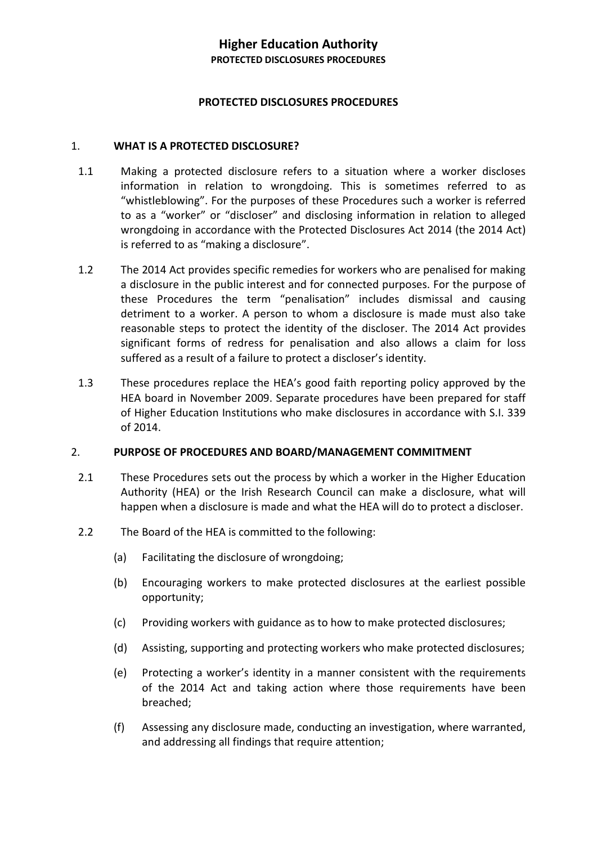### **PROTECTED DISCLOSURES PROCEDURES**

#### 1. **WHAT IS A PROTECTED DISCLOSURE?**

- 1.1 Making a protected disclosure refers to a situation where a worker discloses information in relation to wrongdoing. This is sometimes referred to as "whistleblowing". For the purposes of these Procedures such a worker is referred to as a "worker" or "discloser" and disclosing information in relation to alleged wrongdoing in accordance with the Protected Disclosures Act 2014 (the 2014 Act) is referred to as "making a disclosure".
- 1.2 The 2014 Act provides specific remedies for workers who are penalised for making a disclosure in the public interest and for connected purposes. For the purpose of these Procedures the term "penalisation" includes dismissal and causing detriment to a worker. A person to whom a disclosure is made must also take reasonable steps to protect the identity of the discloser. The 2014 Act provides significant forms of redress for penalisation and also allows a claim for loss suffered as a result of a failure to protect a discloser's identity.
- 1.3 These procedures replace the HEA's good faith reporting policy approved by the HEA board in November 2009. Separate procedures have been prepared for staff of Higher Education Institutions who make disclosures in accordance with S.I. 339 of 2014.

#### 2. **PURPOSE OF PROCEDURES AND BOARD/MANAGEMENT COMMITMENT**

- 2.1 These Procedures sets out the process by which a worker in the Higher Education Authority (HEA) or the Irish Research Council can make a disclosure, what will happen when a disclosure is made and what the HEA will do to protect a discloser.
- 2.2 The Board of the HEA is committed to the following:
	- (a) Facilitating the disclosure of wrongdoing;
	- (b) Encouraging workers to make protected disclosures at the earliest possible opportunity;
	- (c) Providing workers with guidance as to how to make protected disclosures;
	- (d) Assisting, supporting and protecting workers who make protected disclosures;
	- (e) Protecting a worker's identity in a manner consistent with the requirements of the 2014 Act and taking action where those requirements have been breached;
	- (f) Assessing any disclosure made, conducting an investigation, where warranted, and addressing all findings that require attention;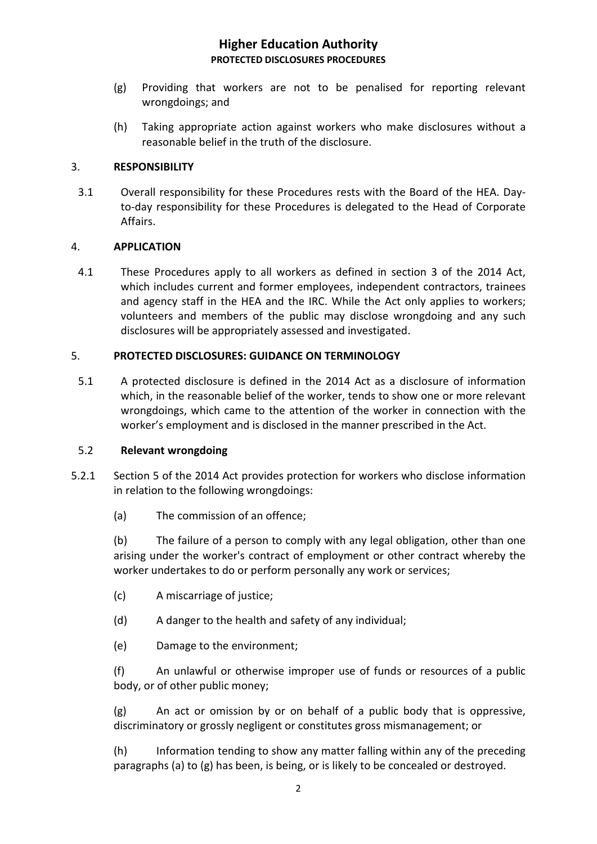- (g) Providing that workers are not to be penalised for reporting relevant wrongdoings; and
- (h) Taking appropriate action against workers who make disclosures without a reasonable belief in the truth of the disclosure.

### 3. **RESPONSIBILITY**

3.1 Overall responsibility for these Procedures rests with the Board of the HEA. Dayto-day responsibility for these Procedures is delegated to the Head of Corporate Affairs.

### 4. **APPLICATION**

4.1 These Procedures apply to all workers as defined in section 3 of the 2014 Act, which includes current and former employees, independent contractors, trainees and agency staff in the HEA and the IRC. While the Act only applies to workers; volunteers and members of the public may disclose wrongdoing and any such disclosures will be appropriately assessed and investigated.

### 5. **PROTECTED DISCLOSURES: GUIDANCE ON TERMINOLOGY**

5.1 A protected disclosure is defined in the 2014 Act as a disclosure of information which, in the reasonable belief of the worker, tends to show one or more relevant wrongdoings, which came to the attention of the worker in connection with the worker's employment and is disclosed in the manner prescribed in the Act.

### 5.2 **Relevant wrongdoing**

- 5.2.1 Section 5 of the 2014 Act provides protection for workers who disclose information in relation to the following wrongdoings:
	- (a) The commission of an offence;

(b) The failure of a person to comply with any legal obligation, other than one arising under the worker's contract of employment or other contract whereby the worker undertakes to do or perform personally any work or services;

- (c) A miscarriage of justice;
- (d) A danger to the health and safety of any individual;
- (e) Damage to the environment;

(f) An unlawful or otherwise improper use of funds or resources of a public body, or of other public money;

(g) An act or omission by or on behalf of a public body that is oppressive, discriminatory or grossly negligent or constitutes gross mismanagement; or

(h) Information tending to show any matter falling within any of the preceding paragraphs (a) to (g) has been, is being, or is likely to be concealed or destroyed.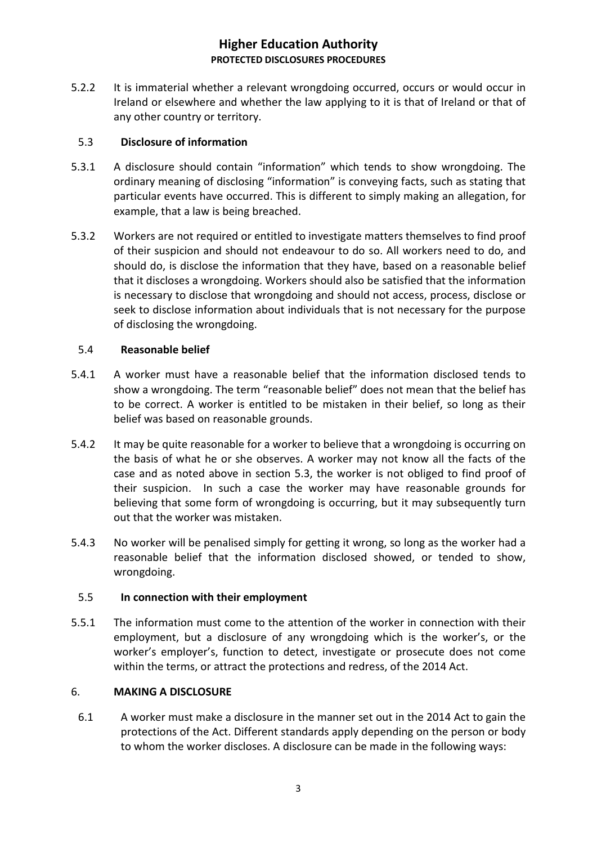5.2.2 It is immaterial whether a relevant wrongdoing occurred, occurs or would occur in Ireland or elsewhere and whether the law applying to it is that of Ireland or that of any other country or territory.

### 5.3 **Disclosure of information**

- 5.3.1 A disclosure should contain "information" which tends to show wrongdoing. The ordinary meaning of disclosing "information" is conveying facts, such as stating that particular events have occurred. This is different to simply making an allegation, for example, that a law is being breached.
- 5.3.2 Workers are not required or entitled to investigate matters themselves to find proof of their suspicion and should not endeavour to do so. All workers need to do, and should do, is disclose the information that they have, based on a reasonable belief that it discloses a wrongdoing. Workers should also be satisfied that the information is necessary to disclose that wrongdoing and should not access, process, disclose or seek to disclose information about individuals that is not necessary for the purpose of disclosing the wrongdoing.

## 5.4 **Reasonable belief**

- 5.4.1 A worker must have a reasonable belief that the information disclosed tends to show a wrongdoing. The term "reasonable belief" does not mean that the belief has to be correct. A worker is entitled to be mistaken in their belief, so long as their belief was based on reasonable grounds.
- 5.4.2 It may be quite reasonable for a worker to believe that a wrongdoing is occurring on the basis of what he or she observes. A worker may not know all the facts of the case and as noted above in section 5.3, the worker is not obliged to find proof of their suspicion. In such a case the worker may have reasonable grounds for believing that some form of wrongdoing is occurring, but it may subsequently turn out that the worker was mistaken.
- 5.4.3 No worker will be penalised simply for getting it wrong, so long as the worker had a reasonable belief that the information disclosed showed, or tended to show, wrongdoing.

## 5.5 **In connection with their employment**

5.5.1 The information must come to the attention of the worker in connection with their employment, but a disclosure of any wrongdoing which is the worker's, or the worker's employer's, function to detect, investigate or prosecute does not come within the terms, or attract the protections and redress, of the 2014 Act.

### 6. **MAKING A DISCLOSURE**

6.1 A worker must make a disclosure in the manner set out in the 2014 Act to gain the protections of the Act. Different standards apply depending on the person or body to whom the worker discloses. A disclosure can be made in the following ways: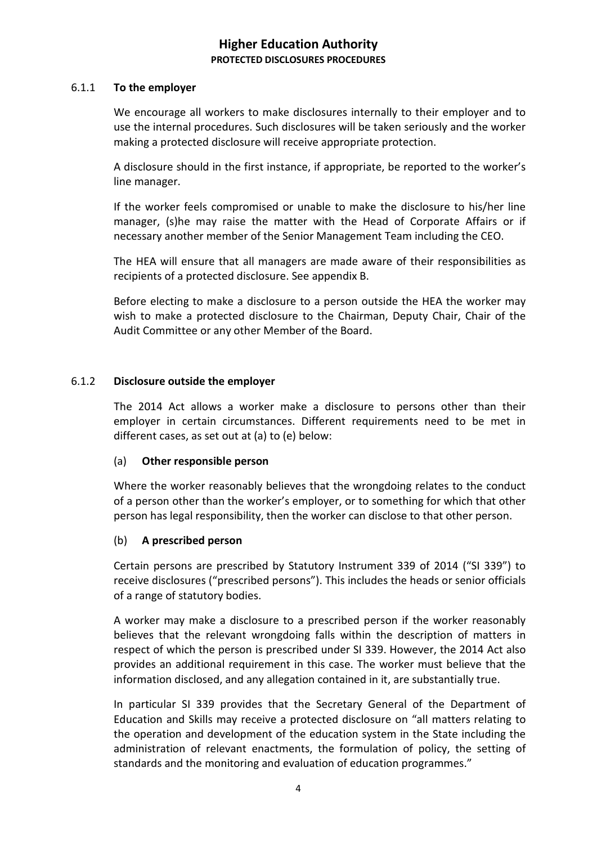### 6.1.1 **To the employer**

We encourage all workers to make disclosures internally to their employer and to use the internal procedures. Such disclosures will be taken seriously and the worker making a protected disclosure will receive appropriate protection.

A disclosure should in the first instance, if appropriate, be reported to the worker's line manager.

If the worker feels compromised or unable to make the disclosure to his/her line manager, (s)he may raise the matter with the Head of Corporate Affairs or if necessary another member of the Senior Management Team including the CEO.

The HEA will ensure that all managers are made aware of their responsibilities as recipients of a protected disclosure. See appendix B.

Before electing to make a disclosure to a person outside the HEA the worker may wish to make a protected disclosure to the Chairman, Deputy Chair, Chair of the Audit Committee or any other Member of the Board.

### 6.1.2 **Disclosure outside the employer**

The 2014 Act allows a worker make a disclosure to persons other than their employer in certain circumstances. Different requirements need to be met in different cases, as set out at (a) to (e) below:

### (a) **Other responsible person**

Where the worker reasonably believes that the wrongdoing relates to the conduct of a person other than the worker's employer, or to something for which that other person has legal responsibility, then the worker can disclose to that other person.

## (b) **A prescribed person**

Certain persons are prescribed by Statutory Instrument 339 of 2014 ("SI 339") to receive disclosures ("prescribed persons"). This includes the heads or senior officials of a range of statutory bodies.

A worker may make a disclosure to a prescribed person if the worker reasonably believes that the relevant wrongdoing falls within the description of matters in respect of which the person is prescribed under SI 339. However, the 2014 Act also provides an additional requirement in this case. The worker must believe that the information disclosed, and any allegation contained in it, are substantially true.

In particular SI 339 provides that the Secretary General of the Department of Education and Skills may receive a protected disclosure on "all matters relating to the operation and development of the education system in the State including the administration of relevant enactments, the formulation of policy, the setting of standards and the monitoring and evaluation of education programmes."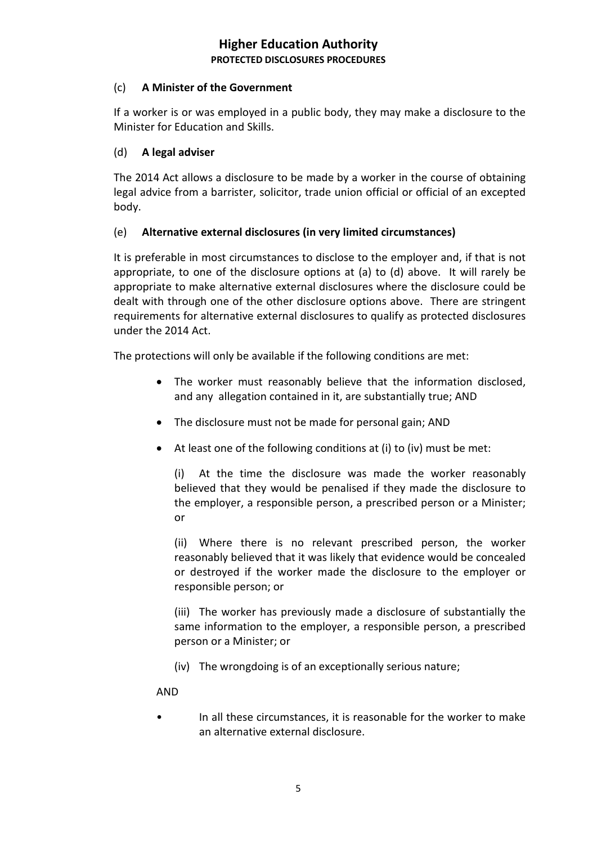## (c) **A Minister of the Government**

If a worker is or was employed in a public body, they may make a disclosure to the Minister for Education and Skills.

## (d) **A legal adviser**

The 2014 Act allows a disclosure to be made by a worker in the course of obtaining legal advice from a barrister, solicitor, trade union official or official of an excepted body.

# (e) **Alternative external disclosures (in very limited circumstances)**

It is preferable in most circumstances to disclose to the employer and, if that is not appropriate, to one of the disclosure options at (a) to (d) above. It will rarely be appropriate to make alternative external disclosures where the disclosure could be dealt with through one of the other disclosure options above. There are stringent requirements for alternative external disclosures to qualify as protected disclosures under the 2014 Act.

The protections will only be available if the following conditions are met:

- The worker must reasonably believe that the information disclosed, and any allegation contained in it, are substantially true; AND
- The disclosure must not be made for personal gain; AND
- At least one of the following conditions at (i) to (iv) must be met:

(i) At the time the disclosure was made the worker reasonably believed that they would be penalised if they made the disclosure to the employer, a responsible person, a prescribed person or a Minister; or

(ii) Where there is no relevant prescribed person, the worker reasonably believed that it was likely that evidence would be concealed or destroyed if the worker made the disclosure to the employer or responsible person; or

(iii) The worker has previously made a disclosure of substantially the same information to the employer, a responsible person, a prescribed person or a Minister; or

(iv) The wrongdoing is of an exceptionally serious nature;

AND

• In all these circumstances, it is reasonable for the worker to make an alternative external disclosure.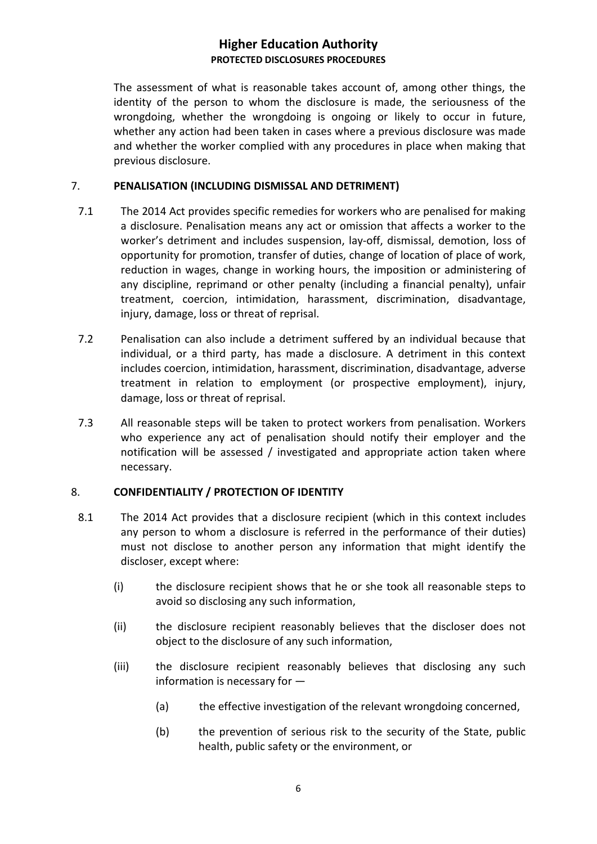The assessment of what is reasonable takes account of, among other things, the identity of the person to whom the disclosure is made, the seriousness of the wrongdoing, whether the wrongdoing is ongoing or likely to occur in future, whether any action had been taken in cases where a previous disclosure was made and whether the worker complied with any procedures in place when making that previous disclosure.

## 7. **PENALISATION (INCLUDING DISMISSAL AND DETRIMENT)**

- 7.1 The 2014 Act provides specific remedies for workers who are penalised for making a disclosure. Penalisation means any act or omission that affects a worker to the worker's detriment and includes suspension, lay-off, dismissal, demotion, loss of opportunity for promotion, transfer of duties, change of location of place of work, reduction in wages, change in working hours, the imposition or administering of any discipline, reprimand or other penalty (including a financial penalty), unfair treatment, coercion, intimidation, harassment, discrimination, disadvantage, injury, damage, loss or threat of reprisal.
- 7.2 Penalisation can also include a detriment suffered by an individual because that individual, or a third party, has made a disclosure. A detriment in this context includes coercion, intimidation, harassment, discrimination, disadvantage, adverse treatment in relation to employment (or prospective employment), injury, damage, loss or threat of reprisal.
- 7.3 All reasonable steps will be taken to protect workers from penalisation. Workers who experience any act of penalisation should notify their employer and the notification will be assessed / investigated and appropriate action taken where necessary.

## 8. **CONFIDENTIALITY / PROTECTION OF IDENTITY**

- 8.1 The 2014 Act provides that a disclosure recipient (which in this context includes any person to whom a disclosure is referred in the performance of their duties) must not disclose to another person any information that might identify the discloser, except where:
	- (i) the disclosure recipient shows that he or she took all reasonable steps to avoid so disclosing any such information,
	- (ii) the disclosure recipient reasonably believes that the discloser does not object to the disclosure of any such information,
	- (iii) the disclosure recipient reasonably believes that disclosing any such information is necessary for —
		- (a) the effective investigation of the relevant wrongdoing concerned,
		- (b) the prevention of serious risk to the security of the State, public health, public safety or the environment, or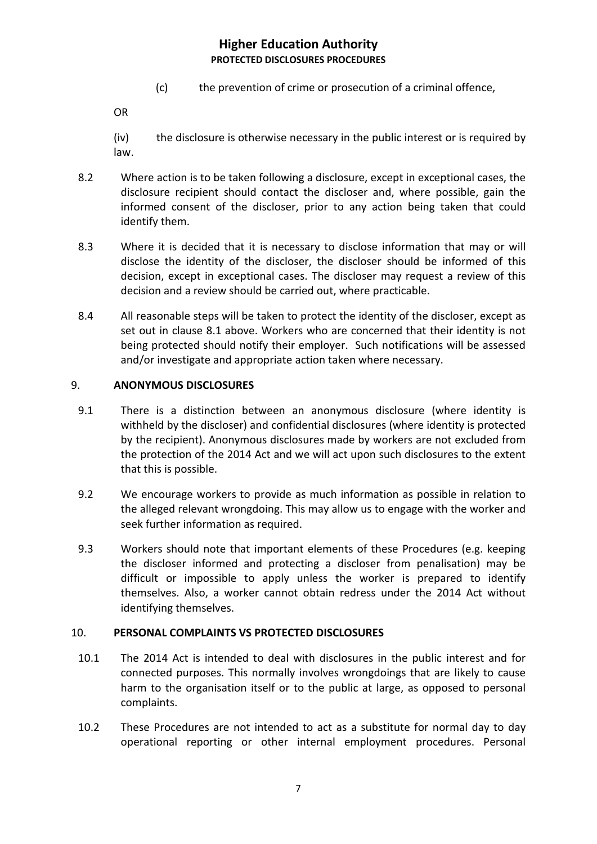(c) the prevention of crime or prosecution of a criminal offence,

OR

- (iv) the disclosure is otherwise necessary in the public interest or is required by law.
- 8.2 Where action is to be taken following a disclosure, except in exceptional cases, the disclosure recipient should contact the discloser and, where possible, gain the informed consent of the discloser, prior to any action being taken that could identify them.
- 8.3 Where it is decided that it is necessary to disclose information that may or will disclose the identity of the discloser, the discloser should be informed of this decision, except in exceptional cases. The discloser may request a review of this decision and a review should be carried out, where practicable.
- 8.4 All reasonable steps will be taken to protect the identity of the discloser, except as set out in clause 8.1 above. Workers who are concerned that their identity is not being protected should notify their employer. Such notifications will be assessed and/or investigate and appropriate action taken where necessary.

### 9. **ANONYMOUS DISCLOSURES**

- 9.1 There is a distinction between an anonymous disclosure (where identity is withheld by the discloser) and confidential disclosures (where identity is protected by the recipient). Anonymous disclosures made by workers are not excluded from the protection of the 2014 Act and we will act upon such disclosures to the extent that this is possible.
- 9.2 We encourage workers to provide as much information as possible in relation to the alleged relevant wrongdoing. This may allow us to engage with the worker and seek further information as required.
- 9.3 Workers should note that important elements of these Procedures (e.g. keeping the discloser informed and protecting a discloser from penalisation) may be difficult or impossible to apply unless the worker is prepared to identify themselves. Also, a worker cannot obtain redress under the 2014 Act without identifying themselves.

## 10. **PERSONAL COMPLAINTS VS PROTECTED DISCLOSURES**

- 10.1 The 2014 Act is intended to deal with disclosures in the public interest and for connected purposes. This normally involves wrongdoings that are likely to cause harm to the organisation itself or to the public at large, as opposed to personal complaints.
- 10.2 These Procedures are not intended to act as a substitute for normal day to day operational reporting or other internal employment procedures. Personal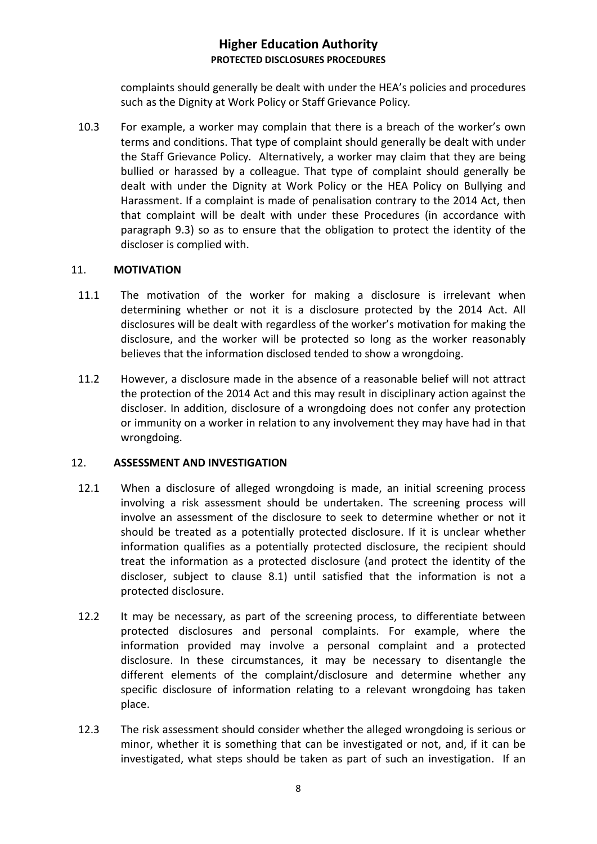complaints should generally be dealt with under the HEA's policies and procedures such as the Dignity at Work Policy or Staff Grievance Policy*.*

10.3 For example, a worker may complain that there is a breach of the worker's own terms and conditions. That type of complaint should generally be dealt with under the Staff Grievance Policy. Alternatively, a worker may claim that they are being bullied or harassed by a colleague. That type of complaint should generally be dealt with under the Dignity at Work Policy or the HEA Policy on Bullying and Harassment. If a complaint is made of penalisation contrary to the 2014 Act, then that complaint will be dealt with under these Procedures (in accordance with paragraph 9.3) so as to ensure that the obligation to protect the identity of the discloser is complied with.

### 11. **MOTIVATION**

- 11.1 The motivation of the worker for making a disclosure is irrelevant when determining whether or not it is a disclosure protected by the 2014 Act. All disclosures will be dealt with regardless of the worker's motivation for making the disclosure, and the worker will be protected so long as the worker reasonably believes that the information disclosed tended to show a wrongdoing.
- 11.2 However, a disclosure made in the absence of a reasonable belief will not attract the protection of the 2014 Act and this may result in disciplinary action against the discloser. In addition, disclosure of a wrongdoing does not confer any protection or immunity on a worker in relation to any involvement they may have had in that wrongdoing.

### 12. **ASSESSMENT AND INVESTIGATION**

- 12.1 When a disclosure of alleged wrongdoing is made, an initial screening process involving a risk assessment should be undertaken. The screening process will involve an assessment of the disclosure to seek to determine whether or not it should be treated as a potentially protected disclosure. If it is unclear whether information qualifies as a potentially protected disclosure, the recipient should treat the information as a protected disclosure (and protect the identity of the discloser, subject to clause 8.1) until satisfied that the information is not a protected disclosure.
- 12.2 It may be necessary, as part of the screening process, to differentiate between protected disclosures and personal complaints. For example, where the information provided may involve a personal complaint and a protected disclosure. In these circumstances, it may be necessary to disentangle the different elements of the complaint/disclosure and determine whether any specific disclosure of information relating to a relevant wrongdoing has taken place.
- 12.3 The risk assessment should consider whether the alleged wrongdoing is serious or minor, whether it is something that can be investigated or not, and, if it can be investigated, what steps should be taken as part of such an investigation. If an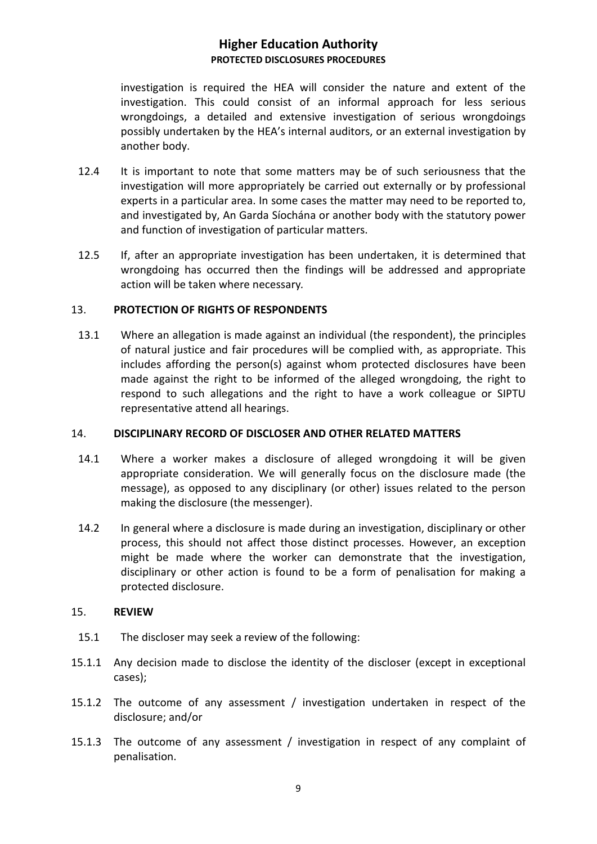investigation is required the HEA will consider the nature and extent of the investigation. This could consist of an informal approach for less serious wrongdoings, a detailed and extensive investigation of serious wrongdoings possibly undertaken by the HEA's internal auditors, or an external investigation by another body.

- 12.4 It is important to note that some matters may be of such seriousness that the investigation will more appropriately be carried out externally or by professional experts in a particular area. In some cases the matter may need to be reported to, and investigated by, An Garda Síochána or another body with the statutory power and function of investigation of particular matters.
- 12.5 If, after an appropriate investigation has been undertaken, it is determined that wrongdoing has occurred then the findings will be addressed and appropriate action will be taken where necessary*.*

### 13. **PROTECTION OF RIGHTS OF RESPONDENTS**

13.1 Where an allegation is made against an individual (the respondent), the principles of natural justice and fair procedures will be complied with, as appropriate. This includes affording the person(s) against whom protected disclosures have been made against the right to be informed of the alleged wrongdoing, the right to respond to such allegations and the right to have a work colleague or SIPTU representative attend all hearings.

### 14. **DISCIPLINARY RECORD OF DISCLOSER AND OTHER RELATED MATTERS**

- 14.1 Where a worker makes a disclosure of alleged wrongdoing it will be given appropriate consideration. We will generally focus on the disclosure made (the message), as opposed to any disciplinary (or other) issues related to the person making the disclosure (the messenger).
- 14.2 In general where a disclosure is made during an investigation, disciplinary or other process, this should not affect those distinct processes. However, an exception might be made where the worker can demonstrate that the investigation, disciplinary or other action is found to be a form of penalisation for making a protected disclosure.

### 15. **REVIEW**

- 15.1 The discloser may seek a review of the following:
- 15.1.1 Any decision made to disclose the identity of the discloser (except in exceptional cases);
- 15.1.2 The outcome of any assessment / investigation undertaken in respect of the disclosure; and/or
- 15.1.3 The outcome of any assessment / investigation in respect of any complaint of penalisation.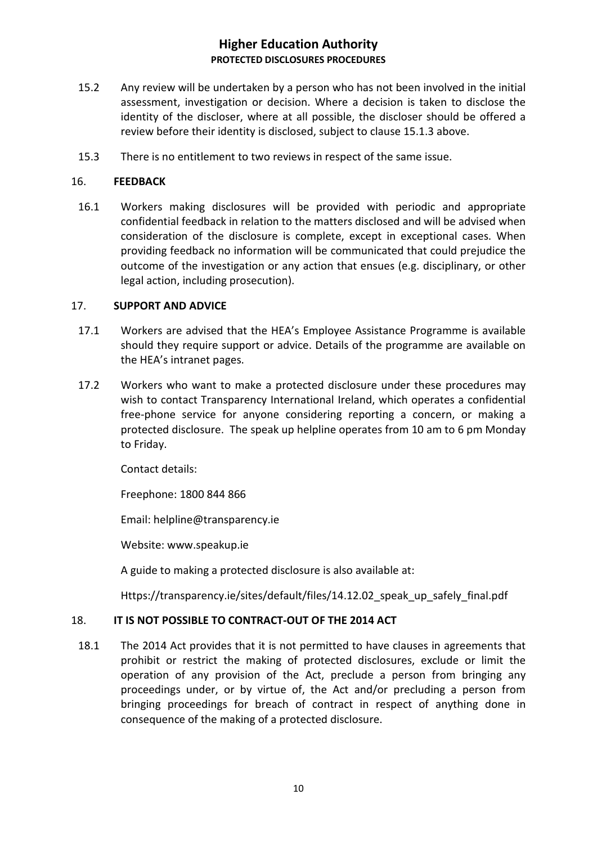- 15.2 Any review will be undertaken by a person who has not been involved in the initial assessment, investigation or decision. Where a decision is taken to disclose the identity of the discloser, where at all possible, the discloser should be offered a review before their identity is disclosed, subject to clause 15.1.3 above.
- 15.3 There is no entitlement to two reviews in respect of the same issue.

### 16. **FEEDBACK**

16.1 Workers making disclosures will be provided with periodic and appropriate confidential feedback in relation to the matters disclosed and will be advised when consideration of the disclosure is complete, except in exceptional cases. When providing feedback no information will be communicated that could prejudice the outcome of the investigation or any action that ensues (e.g. disciplinary, or other legal action, including prosecution).

### 17. **SUPPORT AND ADVICE**

- 17.1 Workers are advised that the HEA's Employee Assistance Programme is available should they require support or advice. Details of the programme are available on the HEA's intranet pages.
- 17.2 Workers who want to make a protected disclosure under these procedures may wish to contact Transparency International Ireland, which operates a confidential free-phone service for anyone considering reporting a concern, or making a protected disclosure. The speak up helpline operates from 10 am to 6 pm Monday to Friday.

Contact details:

Freephone: 1800 844 866

Email: helpline@transparency.ie

Website: www.speakup.ie

A guide to making a protected disclosure is also available at:

Https://transparency.ie/sites/default/files/14.12.02 speak up safely final.pdf

### 18. **IT IS NOT POSSIBLE TO CONTRACT-OUT OF THE 2014 ACT**

18.1 The 2014 Act provides that it is not permitted to have clauses in agreements that prohibit or restrict the making of protected disclosures, exclude or limit the operation of any provision of the Act, preclude a person from bringing any proceedings under, or by virtue of, the Act and/or precluding a person from bringing proceedings for breach of contract in respect of anything done in consequence of the making of a protected disclosure.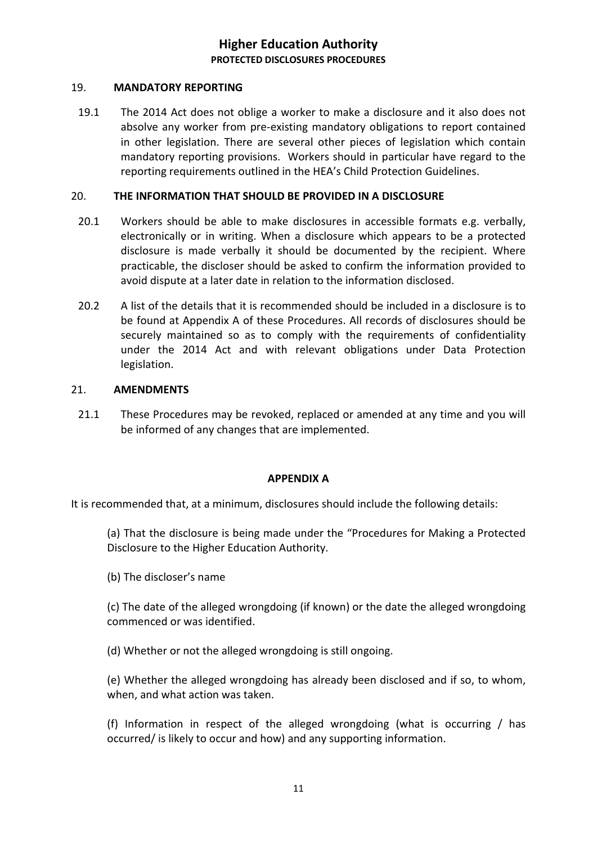### 19. **MANDATORY REPORTING**

19.1 The 2014 Act does not oblige a worker to make a disclosure and it also does not absolve any worker from pre-existing mandatory obligations to report contained in other legislation. There are several other pieces of legislation which contain mandatory reporting provisions. Workers should in particular have regard to the reporting requirements outlined in the HEA's Child Protection Guidelines.

### 20. **THE INFORMATION THAT SHOULD BE PROVIDED IN A DISCLOSURE**

- 20.1 Workers should be able to make disclosures in accessible formats e.g. verbally, electronically or in writing. When a disclosure which appears to be a protected disclosure is made verbally it should be documented by the recipient. Where practicable, the discloser should be asked to confirm the information provided to avoid dispute at a later date in relation to the information disclosed.
- 20.2 A list of the details that it is recommended should be included in a disclosure is to be found at Appendix A of these Procedures. All records of disclosures should be securely maintained so as to comply with the requirements of confidentiality under the 2014 Act and with relevant obligations under Data Protection legislation.

### 21. **AMENDMENTS**

21.1 These Procedures may be revoked, replaced or amended at any time and you will be informed of any changes that are implemented.

### **APPENDIX A**

It is recommended that, at a minimum, disclosures should include the following details:

(a) That the disclosure is being made under the "Procedures for Making a Protected Disclosure to the Higher Education Authority.

(b) The discloser's name

(c) The date of the alleged wrongdoing (if known) or the date the alleged wrongdoing commenced or was identified.

(d) Whether or not the alleged wrongdoing is still ongoing.

(e) Whether the alleged wrongdoing has already been disclosed and if so, to whom, when, and what action was taken.

(f) Information in respect of the alleged wrongdoing (what is occurring / has occurred/ is likely to occur and how) and any supporting information.